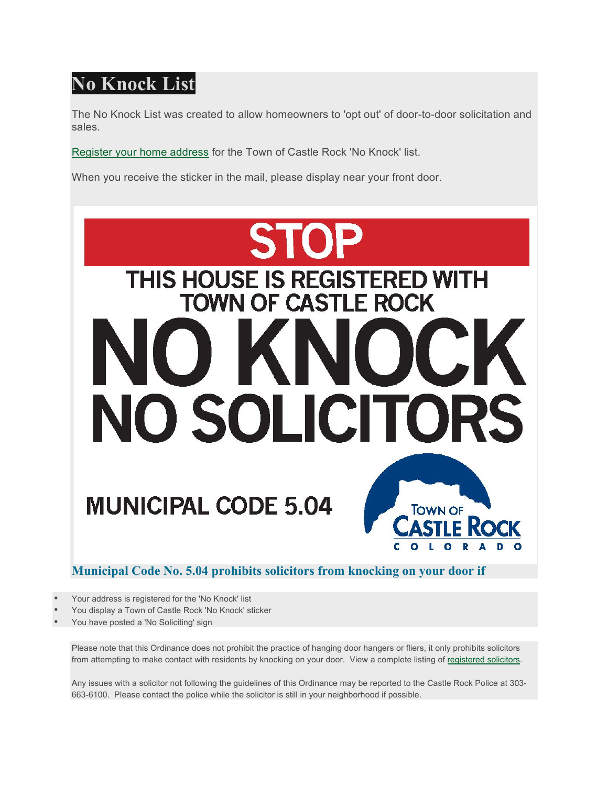## **No Knock List**

The No Knock List was created to allow homeowners to 'opt out' of door-to-door solicitation and sales.

Register your home address for the Town of Castle Rock 'No Knock' list.

When you receive the sticker in the mail, please display near your front door.



**Municipal Code No. 5.04 prohibits solicitors from knocking on your door if**

- Your address is registered for the 'No Knock' list
- You display a Town of Castle Rock 'No Knock' sticker
- You have posted a 'No Soliciting' sign

Please note that this Ordinance does not prohibit the practice of hanging door hangers or fliers, it only prohibits solicitors from attempting to make contact with residents by knocking on your door. View a complete listing of registered solicitors.

Any issues with a solicitor not following the guidelines of this Ordinance may be reported to the Castle Rock Police at 303- 663-6100. Please contact the police while the solicitor is still in your neighborhood if possible.